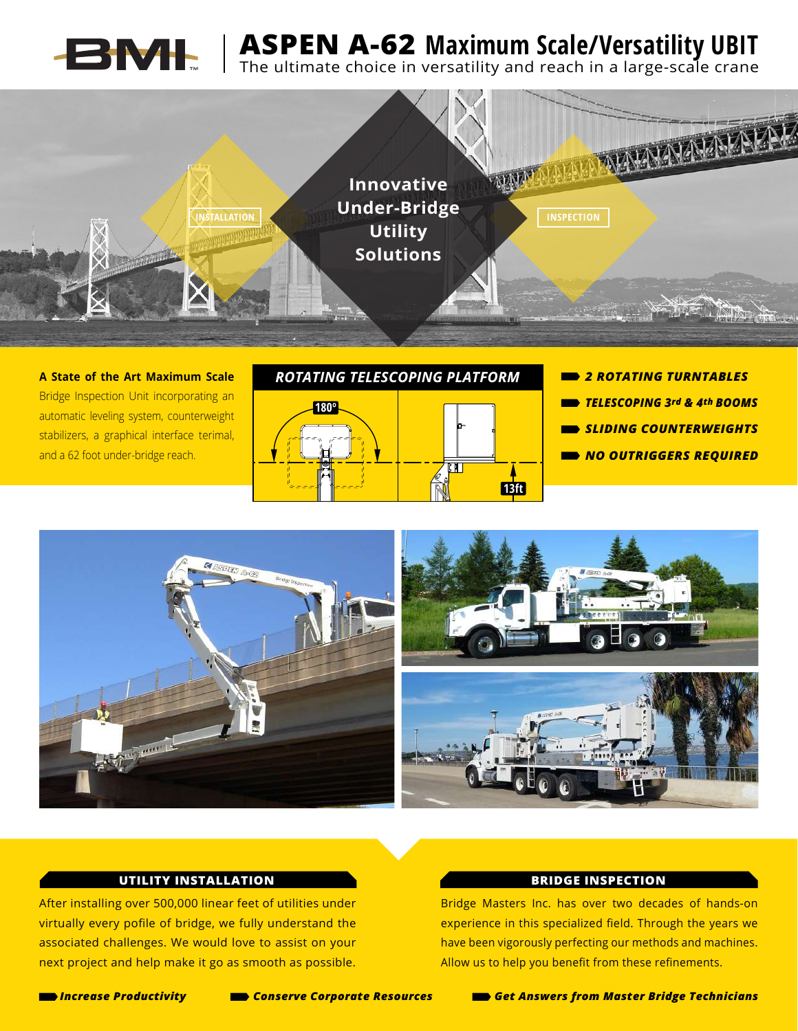

## **ASPEN A-62 Maximum Scale/Versatility UBIT**

The ultimate choice in versatility and reach in a large-scale crane



**A State of the Art Maximum Scale** Bridge Inspection Unit incorporating an automatic leveling system, counterweight stabilizers, a graphical interface terimal, and a 62 foot under-bridge reach.



*SLIDING COUNTERWEIGHTS NO OUTRIGGERS REQUIRED TELESCOPING 3rd & 4th BOOMS*





### **UTILITY INSTALLATION BRIDGE INSPECTION**

After installing over 500,000 linear feet of utilities under virtually every pofile of bridge, we fully understand the associated challenges. We would love to assist on your next project and help make it go as smooth as possible.

Bridge Masters Inc. has over two decades of hands-on experience in this specialized field. Through the years we have been vigorously perfecting our methods and machines. Allow us to help you benefit from these refinements.